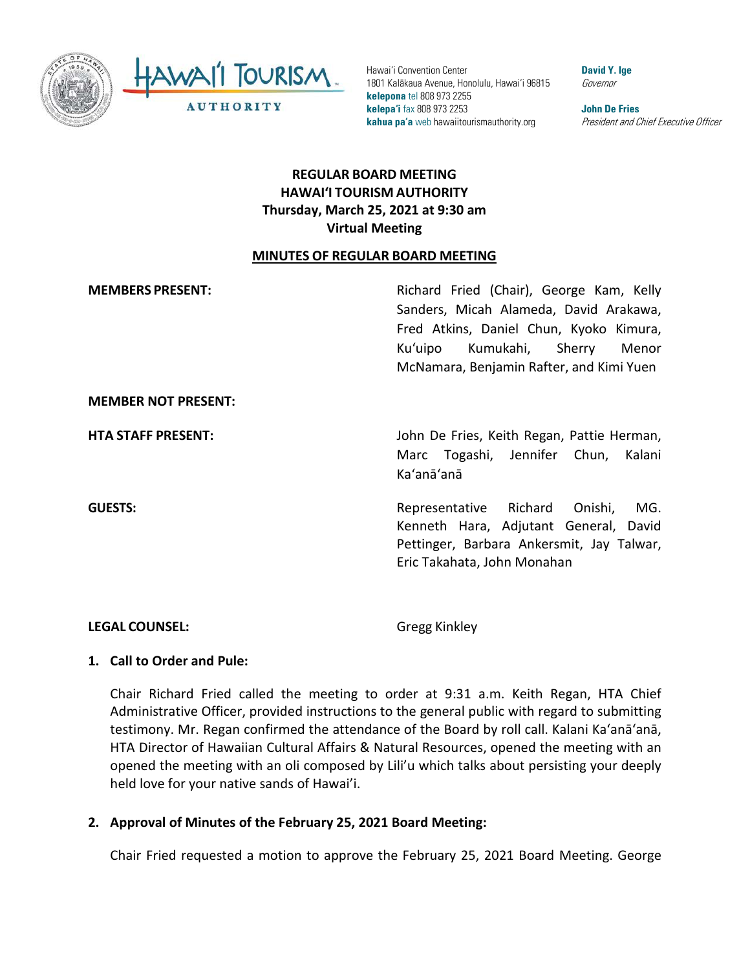

TOURISM **AWAI AUTHORITY** 

Hawai'i Convention Center 1801 Kalākaua Avenue, Honolulu, Hawai'i 96815 **kelepona** tel 808 973 2255 **kelepa'i** fax 808 973 2253 **kahua pa'a** web hawaiitourismauthority.org

**David Y. Ige** Governor

**John De Fries** President and Chief Executive Officer

# **REGULAR BOARD MEETING HAWAI'I TOURISM AUTHORITY Thursday, March 25, 2021 at 9:30 am Virtual Meeting**

#### **MINUTES OF REGULAR BOARD MEETING**

| <b>MEMBERS PRESENT:</b>    | Richard Fried (Chair), George Kam, Kelly<br>Sanders, Micah Alameda, David Arakawa,<br>Fred Atkins, Daniel Chun, Kyoko Kimura,<br>Kumukahi, Sherry Menor<br>Kuʻuipo<br>McNamara, Benjamin Rafter, and Kimi Yuen |
|----------------------------|----------------------------------------------------------------------------------------------------------------------------------------------------------------------------------------------------------------|
| <b>MEMBER NOT PRESENT:</b> |                                                                                                                                                                                                                |
| <b>HTA STAFF PRESENT:</b>  | John De Fries, Keith Regan, Pattie Herman,<br>Marc Togashi, Jennifer Chun, Kalani<br>Ka'anā'anā                                                                                                                |
| <b>GUESTS:</b>             | Representative Richard Onishi,<br>MG.<br>Kenneth Hara, Adjutant General, David<br>Pettinger, Barbara Ankersmit, Jay Talwar,<br>Eric Takahata, John Monahan                                                     |

#### **LEGAL COUNSEL:** Gregg Kinkley

#### **1. Call to Order and Pule:**

Chair Richard Fried called the meeting to order at 9:31 a.m. Keith Regan, HTA Chief Administrative Officer, provided instructions to the general public with regard to submitting testimony. Mr. Regan confirmed the attendance of the Board by roll call. Kalani Ka'anā'anā, HTA Director of Hawaiian Cultural Affairs & Natural Resources, opened the meeting with an opened the meeting with an oli composed by Lili'u which talks about persisting your deeply held love for your native sands of Hawai'i.

### **2. Approval of Minutes of the February 25, 2021 Board Meeting:**

Chair Fried requested a motion to approve the February 25, 2021 Board Meeting. George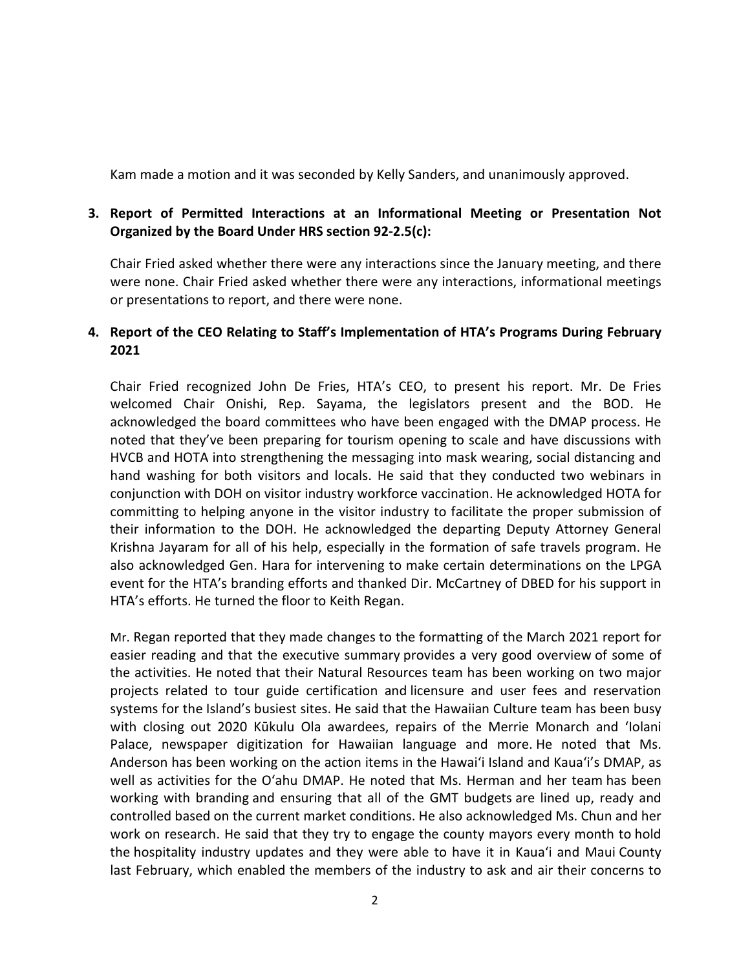Kam made a motion and it was seconded by Kelly Sanders, and unanimously approved.

#### **3. Report of Permitted Interactions at an Informational Meeting or Presentation Not Organized by the Board Under HRS section 92-2.5(c):**

Chair Fried asked whether there were any interactions since the January meeting, and there were none. Chair Fried asked whether there were any interactions, informational meetings or presentations to report, and there were none.

### **4. Report of the CEO Relating to Staff's Implementation of HTA's Programs During February 2021**

Chair Fried recognized John De Fries, HTA's CEO, to present his report. Mr. De Fries welcomed Chair Onishi, Rep. Sayama, the legislators present and the BOD. He acknowledged the board committees who have been engaged with the DMAP process. He noted that they've been preparing for tourism opening to scale and have discussions with HVCB and HOTA into strengthening the messaging into mask wearing, social distancing and hand washing for both visitors and locals. He said that they conducted two webinars in conjunction with DOH on visitor industry workforce vaccination. He acknowledged HOTA for committing to helping anyone in the visitor industry to facilitate the proper submission of their information to the DOH. He acknowledged the departing Deputy Attorney General Krishna Jayaram for all of his help, especially in the formation of safe travels program. He also acknowledged Gen. Hara for intervening to make certain determinations on the LPGA event for the HTA's branding efforts and thanked Dir. McCartney of DBED for his support in HTA's efforts. He turned the floor to Keith Regan.

Mr. Regan reported that they made changes to the formatting of the March 2021 report for easier reading and that the executive summary provides a very good overview of some of the activities. He noted that their Natural Resources team has been working on two major projects related to tour guide certification and licensure and user fees and reservation systems for the Island's busiest sites. He said that the Hawaiian Culture team has been busy with closing out 2020 Kūkulu Ola awardees, repairs of the Merrie Monarch and 'Iolani Palace, newspaper digitization for Hawaiian language and more. He noted that Ms. Anderson has been working on the action items in the Hawaiʻi Island and Kaua'i's DMAP, as well as activities for the O'ahu DMAP. He noted that Ms. Herman and her team has been working with branding and ensuring that all of the GMT budgets are lined up, ready and controlled based on the current market conditions. He also acknowledged Ms. Chun and her work on research. He said that they try to engage the county mayors every month to hold the hospitality industry updates and they were able to have it in Kaua'i and Maui County last February, which enabled the members of the industry to ask and air their concerns to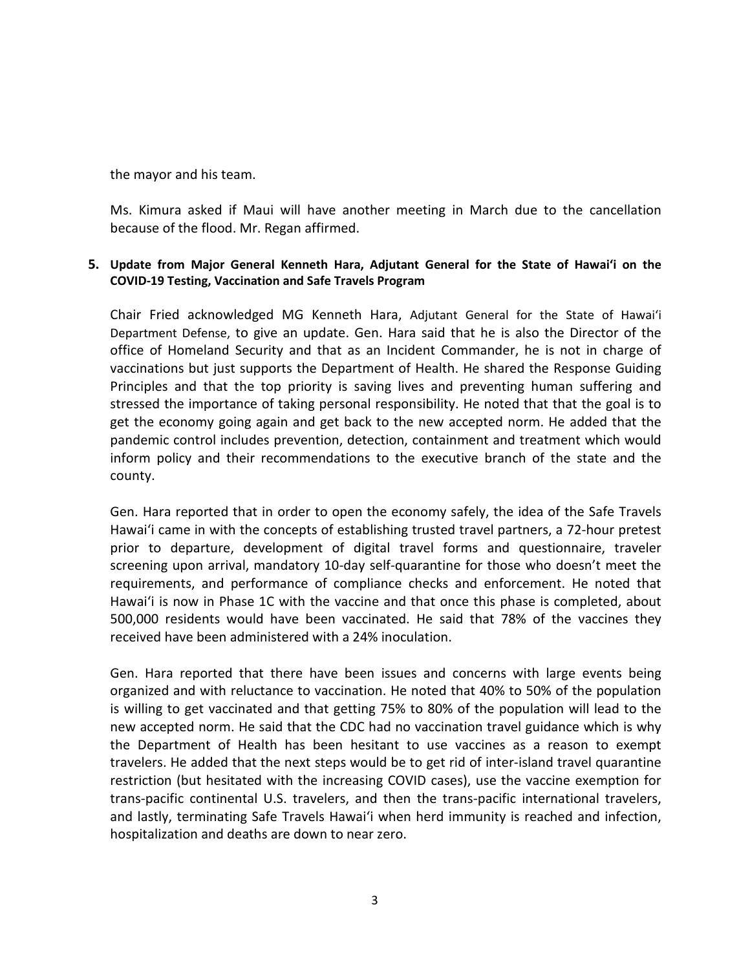the mayor and his team.

Ms. Kimura asked if Maui will have another meeting in March due to the cancellation because of the flood. Mr. Regan affirmed.

#### **5. Update from Major General Kenneth Hara, Adjutant General for the State of Hawaiʻi on the COVID-19 Testing, Vaccination and Safe Travels Program**

Chair Fried acknowledged MG Kenneth Hara, Adjutant General for the State of Hawaiʻi Department Defense, to give an update. Gen. Hara said that he is also the Director of the office of Homeland Security and that as an Incident Commander, he is not in charge of vaccinations but just supports the Department of Health. He shared the Response Guiding Principles and that the top priority is saving lives and preventing human suffering and stressed the importance of taking personal responsibility. He noted that that the goal is to get the economy going again and get back to the new accepted norm. He added that the pandemic control includes prevention, detection, containment and treatment which would inform policy and their recommendations to the executive branch of the state and the county.

Gen. Hara reported that in order to open the economy safely, the idea of the Safe Travels Hawaiʻi came in with the concepts of establishing trusted travel partners, a 72-hour pretest prior to departure, development of digital travel forms and questionnaire, traveler screening upon arrival, mandatory 10-day self-quarantine for those who doesn't meet the requirements, and performance of compliance checks and enforcement. He noted that Hawaiʻi is now in Phase 1C with the vaccine and that once this phase is completed, about 500,000 residents would have been vaccinated. He said that 78% of the vaccines they received have been administered with a 24% inoculation.

Gen. Hara reported that there have been issues and concerns with large events being organized and with reluctance to vaccination. He noted that 40% to 50% of the population is willing to get vaccinated and that getting 75% to 80% of the population will lead to the new accepted norm. He said that the CDC had no vaccination travel guidance which is why the Department of Health has been hesitant to use vaccines as a reason to exempt travelers. He added that the next steps would be to get rid of inter-island travel quarantine restriction (but hesitated with the increasing COVID cases), use the vaccine exemption for trans-pacific continental U.S. travelers, and then the trans-pacific international travelers, and lastly, terminating Safe Travels Hawaiʻi when herd immunity is reached and infection, hospitalization and deaths are down to near zero.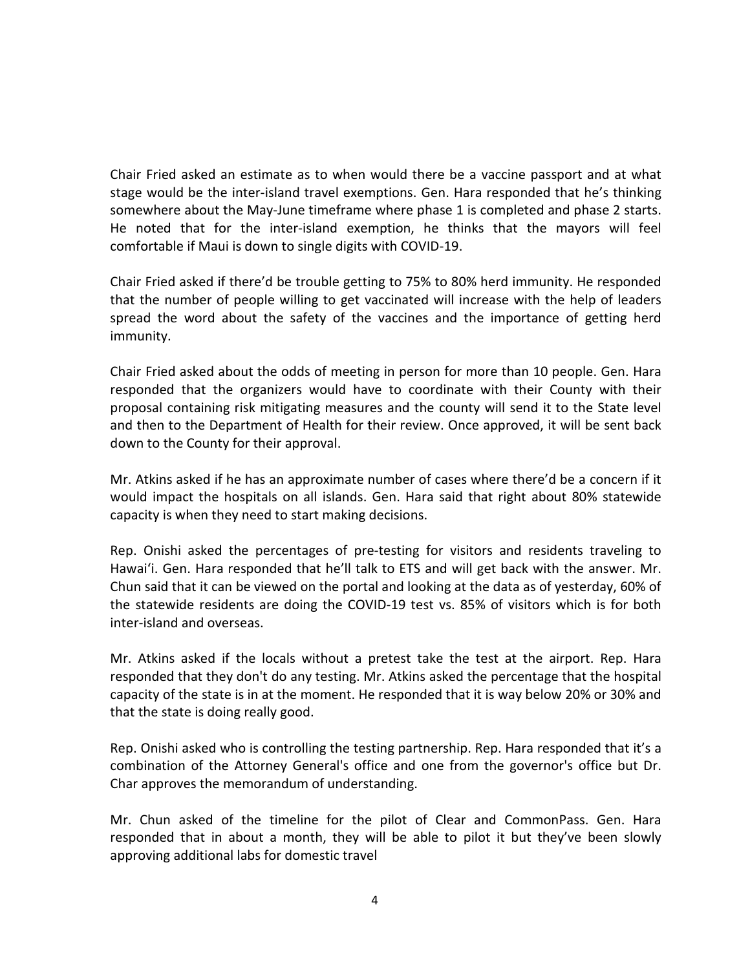Chair Fried asked an estimate as to when would there be a vaccine passport and at what stage would be the inter-island travel exemptions. Gen. Hara responded that he's thinking somewhere about the May-June timeframe where phase 1 is completed and phase 2 starts. He noted that for the inter-island exemption, he thinks that the mayors will feel comfortable if Maui is down to single digits with COVID-19.

Chair Fried asked if there'd be trouble getting to 75% to 80% herd immunity. He responded that the number of people willing to get vaccinated will increase with the help of leaders spread the word about the safety of the vaccines and the importance of getting herd immunity.

Chair Fried asked about the odds of meeting in person for more than 10 people. Gen. Hara responded that the organizers would have to coordinate with their County with their proposal containing risk mitigating measures and the county will send it to the State level and then to the Department of Health for their review. Once approved, it will be sent back down to the County for their approval.

Mr. Atkins asked if he has an approximate number of cases where there'd be a concern if it would impact the hospitals on all islands. Gen. Hara said that right about 80% statewide capacity is when they need to start making decisions.

Rep. Onishi asked the percentages of pre-testing for visitors and residents traveling to Hawaiʻi. Gen. Hara responded that he'll talk to ETS and will get back with the answer. Mr. Chun said that it can be viewed on the portal and looking at the data as of yesterday, 60% of the statewide residents are doing the COVID-19 test vs. 85% of visitors which is for both inter-island and overseas.

Mr. Atkins asked if the locals without a pretest take the test at the airport. Rep. Hara responded that they don't do any testing. Mr. Atkins asked the percentage that the hospital capacity of the state is in at the moment. He responded that it is way below 20% or 30% and that the state is doing really good.

Rep. Onishi asked who is controlling the testing partnership. Rep. Hara responded that it's a combination of the Attorney General's office and one from the governor's office but Dr. Char approves the memorandum of understanding.

Mr. Chun asked of the timeline for the pilot of Clear and CommonPass. Gen. Hara responded that in about a month, they will be able to pilot it but they've been slowly approving additional labs for domestic travel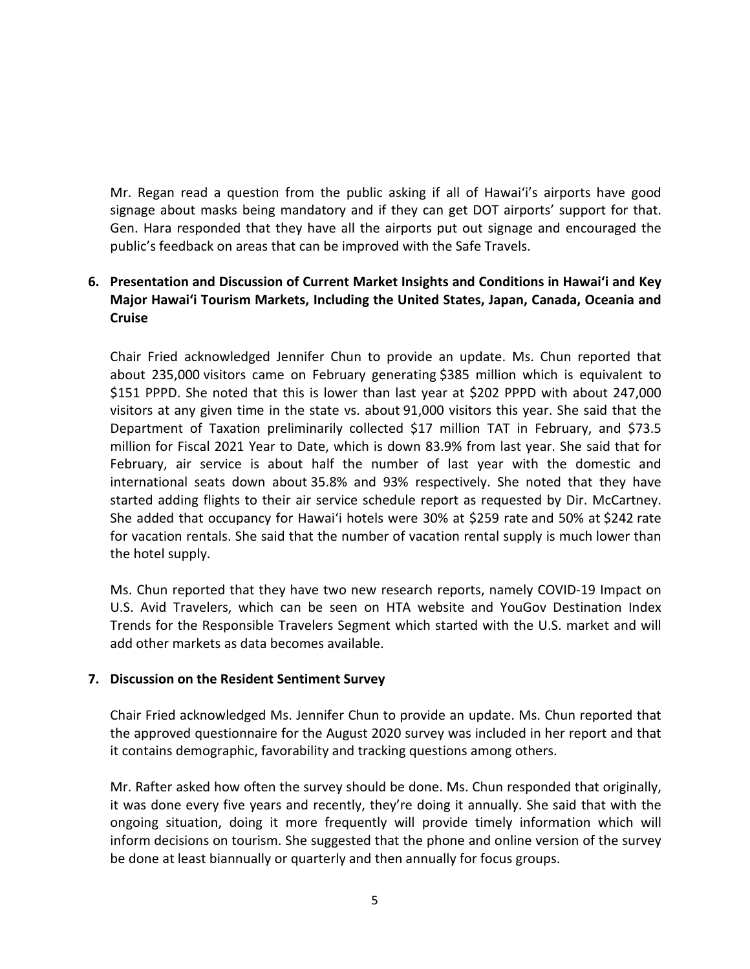Mr. Regan read a question from the public asking if all of Hawaiʻi's airports have good signage about masks being mandatory and if they can get DOT airports' support for that. Gen. Hara responded that they have all the airports put out signage and encouraged the public's feedback on areas that can be improved with the Safe Travels.

# **6. Presentation and Discussion of Current Market Insights and Conditions in Hawai'i and Key Major Hawai'i Tourism Markets, Including the United States, Japan, Canada, Oceania and Cruise**

Chair Fried acknowledged Jennifer Chun to provide an update. Ms. Chun reported that about 235,000 visitors came on February generating \$385 million which is equivalent to \$151 PPPD. She noted that this is lower than last year at \$202 PPPD with about 247,000 visitors at any given time in the state vs. about 91,000 visitors this year. She said that the Department of Taxation preliminarily collected \$17 million TAT in February, and \$73.5 million for Fiscal 2021 Year to Date, which is down 83.9% from last year. She said that for February, air service is about half the number of last year with the domestic and international seats down about 35.8% and 93% respectively. She noted that they have started adding flights to their air service schedule report as requested by Dir. McCartney. She added that occupancy for Hawaiʻi hotels were 30% at \$259 rate and 50% at \$242 rate for vacation rentals. She said that the number of vacation rental supply is much lower than the hotel supply.

Ms. Chun reported that they have two new research reports, namely COVID-19 Impact on U.S. Avid Travelers, which can be seen on HTA website and YouGov Destination Index Trends for the Responsible Travelers Segment which started with the U.S. market and will add other markets as data becomes available.

### **7. Discussion on the Resident Sentiment Survey**

Chair Fried acknowledged Ms. Jennifer Chun to provide an update. Ms. Chun reported that the approved questionnaire for the August 2020 survey was included in her report and that it contains demographic, favorability and tracking questions among others.

Mr. Rafter asked how often the survey should be done. Ms. Chun responded that originally, it was done every five years and recently, they're doing it annually. She said that with the ongoing situation, doing it more frequently will provide timely information which will inform decisions on tourism. She suggested that the phone and online version of the survey be done at least biannually or quarterly and then annually for focus groups.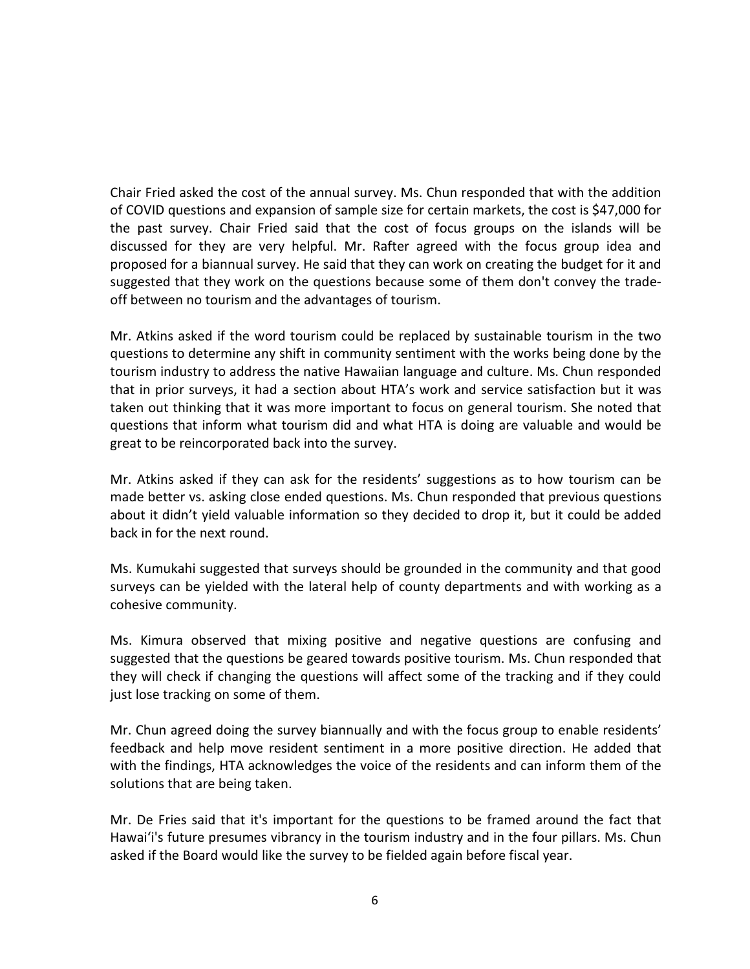Chair Fried asked the cost of the annual survey. Ms. Chun responded that with the addition of COVID questions and expansion of sample size for certain markets, the cost is \$47,000 for the past survey. Chair Fried said that the cost of focus groups on the islands will be discussed for they are very helpful. Mr. Rafter agreed with the focus group idea and proposed for a biannual survey. He said that they can work on creating the budget for it and suggested that they work on the questions because some of them don't convey the tradeoff between no tourism and the advantages of tourism.

Mr. Atkins asked if the word tourism could be replaced by sustainable tourism in the two questions to determine any shift in community sentiment with the works being done by the tourism industry to address the native Hawaiian language and culture. Ms. Chun responded that in prior surveys, it had a section about HTA's work and service satisfaction but it was taken out thinking that it was more important to focus on general tourism. She noted that questions that inform what tourism did and what HTA is doing are valuable and would be great to be reincorporated back into the survey.

Mr. Atkins asked if they can ask for the residents' suggestions as to how tourism can be made better vs. asking close ended questions. Ms. Chun responded that previous questions about it didn't yield valuable information so they decided to drop it, but it could be added back in for the next round.

Ms. Kumukahi suggested that surveys should be grounded in the community and that good surveys can be yielded with the lateral help of county departments and with working as a cohesive community.

Ms. Kimura observed that mixing positive and negative questions are confusing and suggested that the questions be geared towards positive tourism. Ms. Chun responded that they will check if changing the questions will affect some of the tracking and if they could just lose tracking on some of them.

Mr. Chun agreed doing the survey biannually and with the focus group to enable residents' feedback and help move resident sentiment in a more positive direction. He added that with the findings, HTA acknowledges the voice of the residents and can inform them of the solutions that are being taken.

Mr. De Fries said that it's important for the questions to be framed around the fact that Hawaiʻi's future presumes vibrancy in the tourism industry and in the four pillars. Ms. Chun asked if the Board would like the survey to be fielded again before fiscal year.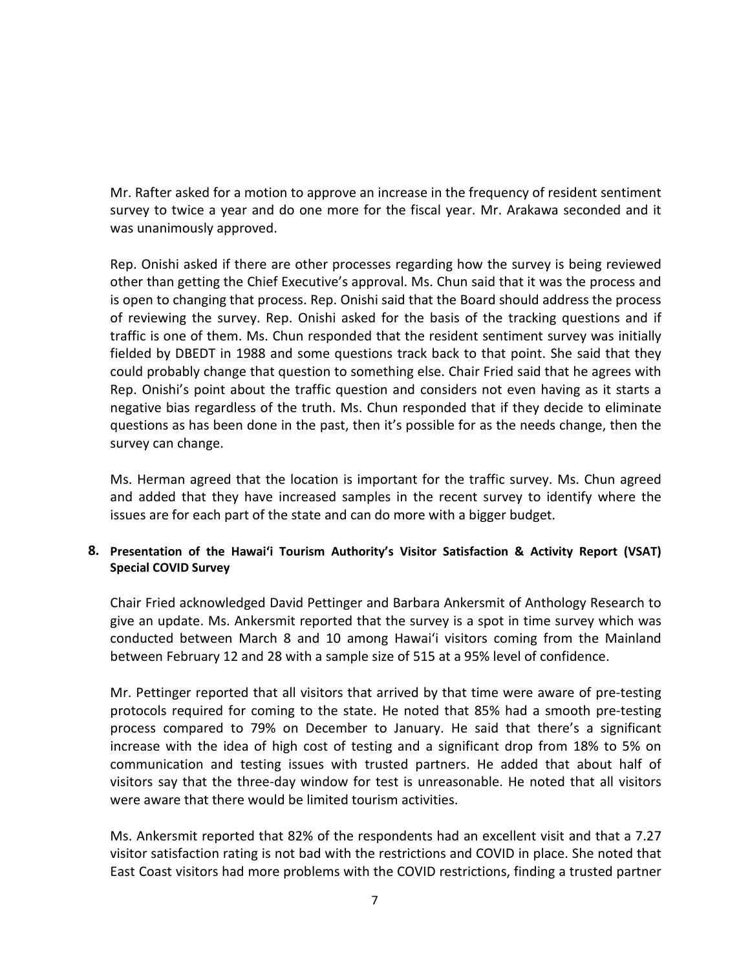Mr. Rafter asked for a motion to approve an increase in the frequency of resident sentiment survey to twice a year and do one more for the fiscal year. Mr. Arakawa seconded and it was unanimously approved.

Rep. Onishi asked if there are other processes regarding how the survey is being reviewed other than getting the Chief Executive's approval. Ms. Chun said that it was the process and is open to changing that process. Rep. Onishi said that the Board should address the process of reviewing the survey. Rep. Onishi asked for the basis of the tracking questions and if traffic is one of them. Ms. Chun responded that the resident sentiment survey was initially fielded by DBEDT in 1988 and some questions track back to that point. She said that they could probably change that question to something else. Chair Fried said that he agrees with Rep. Onishi's point about the traffic question and considers not even having as it starts a negative bias regardless of the truth. Ms. Chun responded that if they decide to eliminate questions as has been done in the past, then it's possible for as the needs change, then the survey can change.

Ms. Herman agreed that the location is important for the traffic survey. Ms. Chun agreed and added that they have increased samples in the recent survey to identify where the issues are for each part of the state and can do more with a bigger budget.

### **8. Presentation of the Hawaiʻi Tourism Authority's Visitor Satisfaction & Activity Report (VSAT) Special COVID Survey**

Chair Fried acknowledged David Pettinger and Barbara Ankersmit of Anthology Research to give an update. Ms. Ankersmit reported that the survey is a spot in time survey which was conducted between March 8 and 10 among Hawaiʻi visitors coming from the Mainland between February 12 and 28 with a sample size of 515 at a 95% level of confidence.

Mr. Pettinger reported that all visitors that arrived by that time were aware of pre-testing protocols required for coming to the state. He noted that 85% had a smooth pre-testing process compared to 79% on December to January. He said that there's a significant increase with the idea of high cost of testing and a significant drop from 18% to 5% on communication and testing issues with trusted partners. He added that about half of visitors say that the three-day window for test is unreasonable. He noted that all visitors were aware that there would be limited tourism activities.

Ms. Ankersmit reported that 82% of the respondents had an excellent visit and that a 7.27 visitor satisfaction rating is not bad with the restrictions and COVID in place. She noted that East Coast visitors had more problems with the COVID restrictions, finding a trusted partner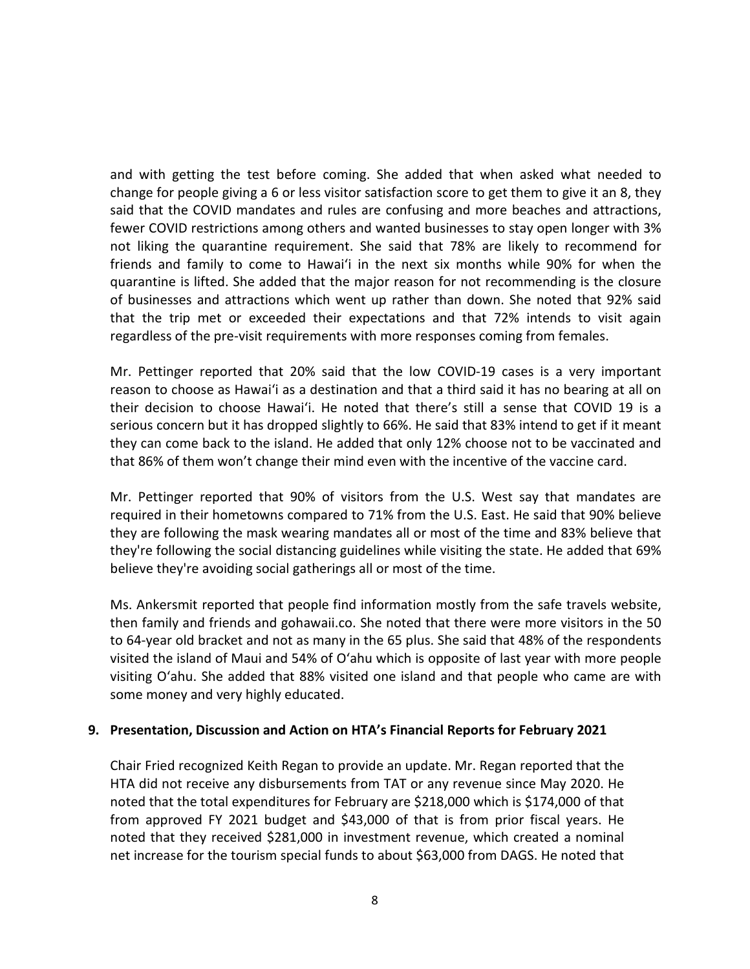and with getting the test before coming. She added that when asked what needed to change for people giving a 6 or less visitor satisfaction score to get them to give it an 8, they said that the COVID mandates and rules are confusing and more beaches and attractions, fewer COVID restrictions among others and wanted businesses to stay open longer with 3% not liking the quarantine requirement. She said that 78% are likely to recommend for friends and family to come to Hawaiʻi in the next six months while 90% for when the quarantine is lifted. She added that the major reason for not recommending is the closure of businesses and attractions which went up rather than down. She noted that 92% said that the trip met or exceeded their expectations and that 72% intends to visit again regardless of the pre-visit requirements with more responses coming from females.

Mr. Pettinger reported that 20% said that the low COVID-19 cases is a very important reason to choose as Hawaiʻi as a destination and that a third said it has no bearing at all on their decision to choose Hawaiʻi. He noted that there's still a sense that COVID 19 is a serious concern but it has dropped slightly to 66%. He said that 83% intend to get if it meant they can come back to the island. He added that only 12% choose not to be vaccinated and that 86% of them won't change their mind even with the incentive of the vaccine card.

Mr. Pettinger reported that 90% of visitors from the U.S. West say that mandates are required in their hometowns compared to 71% from the U.S. East. He said that 90% believe they are following the mask wearing mandates all or most of the time and 83% believe that they're following the social distancing guidelines while visiting the state. He added that 69% believe they're avoiding social gatherings all or most of the time.

Ms. Ankersmit reported that people find information mostly from the safe travels website, then family and friends and gohawaii.co. She noted that there were more visitors in the 50 to 64-year old bracket and not as many in the 65 plus. She said that 48% of the respondents visited the island of Maui and 54% of Oʻahu which is opposite of last year with more people visiting Oʻahu. She added that 88% visited one island and that people who came are with some money and very highly educated.

#### **9. Presentation, Discussion and Action on HTA's Financial Reports for February 2021**

Chair Fried recognized Keith Regan to provide an update. Mr. Regan reported that the HTA did not receive any disbursements from TAT or any revenue since May 2020. He noted that the total expenditures for February are \$218,000 which is \$174,000 of that from approved FY 2021 budget and \$43,000 of that is from prior fiscal years. He noted that they received \$281,000 in investment revenue, which created a nominal net increase for the tourism special funds to about \$63,000 from DAGS. He noted that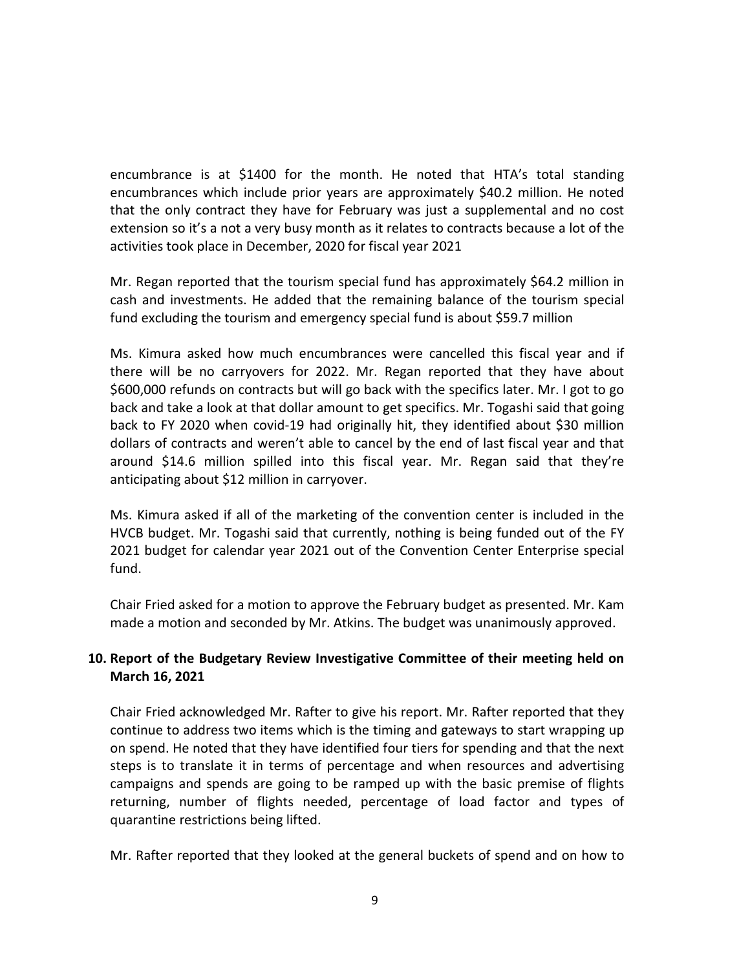encumbrance is at \$1400 for the month. He noted that HTA's total standing encumbrances which include prior years are approximately \$40.2 million. He noted that the only contract they have for February was just a supplemental and no cost extension so it's a not a very busy month as it relates to contracts because a lot of the activities took place in December, 2020 for fiscal year 2021

Mr. Regan reported that the tourism special fund has approximately \$64.2 million in cash and investments. He added that the remaining balance of the tourism special fund excluding the tourism and emergency special fund is about \$59.7 million

Ms. Kimura asked how much encumbrances were cancelled this fiscal year and if there will be no carryovers for 2022. Mr. Regan reported that they have about \$600,000 refunds on contracts but will go back with the specifics later. Mr. I got to go back and take a look at that dollar amount to get specifics. Mr. Togashi said that going back to FY 2020 when covid-19 had originally hit, they identified about \$30 million dollars of contracts and weren't able to cancel by the end of last fiscal year and that around \$14.6 million spilled into this fiscal year. Mr. Regan said that they're anticipating about \$12 million in carryover.

Ms. Kimura asked if all of the marketing of the convention center is included in the HVCB budget. Mr. Togashi said that currently, nothing is being funded out of the FY 2021 budget for calendar year 2021 out of the Convention Center Enterprise special fund.

Chair Fried asked for a motion to approve the February budget as presented. Mr. Kam made a motion and seconded by Mr. Atkins. The budget was unanimously approved.

### **10. Report of the Budgetary Review Investigative Committee of their meeting held on March 16, 2021**

Chair Fried acknowledged Mr. Rafter to give his report. Mr. Rafter reported that they continue to address two items which is the timing and gateways to start wrapping up on spend. He noted that they have identified four tiers for spending and that the next steps is to translate it in terms of percentage and when resources and advertising campaigns and spends are going to be ramped up with the basic premise of flights returning, number of flights needed, percentage of load factor and types of quarantine restrictions being lifted.

Mr. Rafter reported that they looked at the general buckets of spend and on how to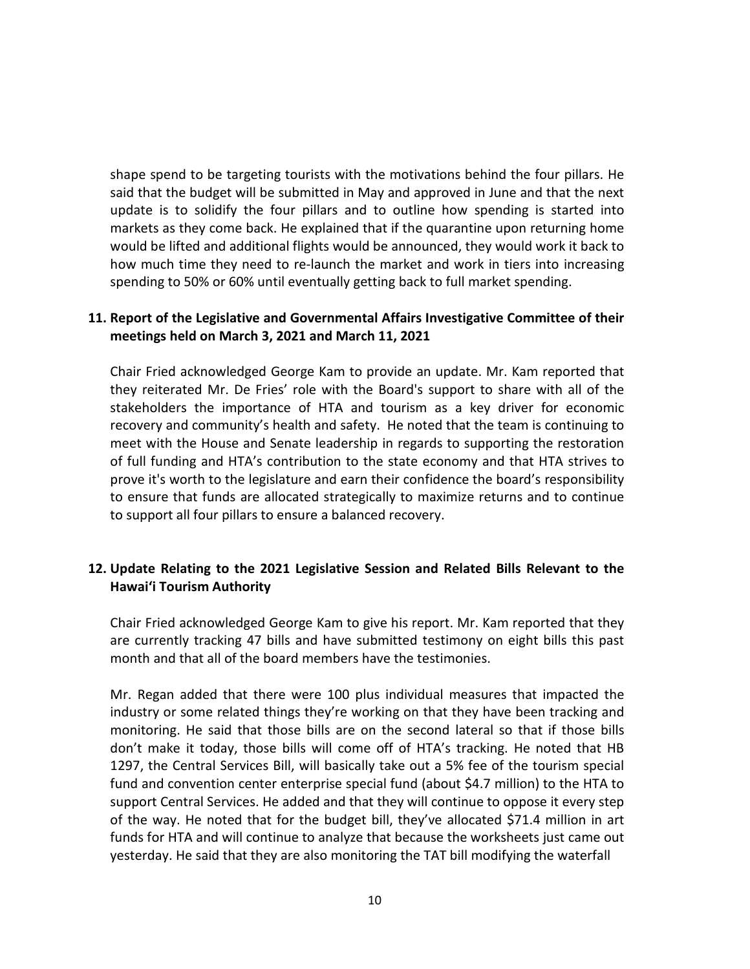shape spend to be targeting tourists with the motivations behind the four pillars. He said that the budget will be submitted in May and approved in June and that the next update is to solidify the four pillars and to outline how spending is started into markets as they come back. He explained that if the quarantine upon returning home would be lifted and additional flights would be announced, they would work it back to how much time they need to re-launch the market and work in tiers into increasing spending to 50% or 60% until eventually getting back to full market spending.

#### **11. Report of the Legislative and Governmental Affairs Investigative Committee of their meetings held on March 3, 2021 and March 11, 2021**

Chair Fried acknowledged George Kam to provide an update. Mr. Kam reported that they reiterated Mr. De Fries' role with the Board's support to share with all of the stakeholders the importance of HTA and tourism as a key driver for economic recovery and community's health and safety. He noted that the team is continuing to meet with the House and Senate leadership in regards to supporting the restoration of full funding and HTA's contribution to the state economy and that HTA strives to prove it's worth to the legislature and earn their confidence the board's responsibility to ensure that funds are allocated strategically to maximize returns and to continue to support all four pillars to ensure a balanced recovery.

### **12. Update Relating to the 2021 Legislative Session and Related Bills Relevant to the Hawaiʻi Tourism Authority**

Chair Fried acknowledged George Kam to give his report. Mr. Kam reported that they are currently tracking 47 bills and have submitted testimony on eight bills this past month and that all of the board members have the testimonies.

Mr. Regan added that there were 100 plus individual measures that impacted the industry or some related things they're working on that they have been tracking and monitoring. He said that those bills are on the second lateral so that if those bills don't make it today, those bills will come off of HTA's tracking. He noted that HB 1297, the Central Services Bill, will basically take out a 5% fee of the tourism special fund and convention center enterprise special fund (about \$4.7 million) to the HTA to support Central Services. He added and that they will continue to oppose it every step of the way. He noted that for the budget bill, they've allocated \$71.4 million in art funds for HTA and will continue to analyze that because the worksheets just came out yesterday. He said that they are also monitoring the TAT bill modifying the waterfall